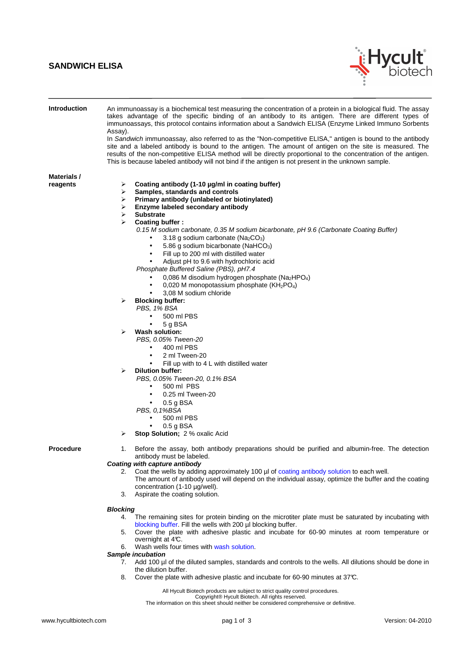## **SANDWICH ELISA**



| <b>Introduction</b> | An immunoassay is a biochemical test measuring the concentration of a protein in a biological fluid. The assay<br>takes advantage of the specific binding of an antibody to its antigen. There are different types of<br>immunoassays, this protocol contains information about a Sandwich ELISA (Enzyme Linked Immuno Sorbents                                                                                                                           |
|---------------------|-----------------------------------------------------------------------------------------------------------------------------------------------------------------------------------------------------------------------------------------------------------------------------------------------------------------------------------------------------------------------------------------------------------------------------------------------------------|
|                     | Assay).<br>In Sandwich immunoassay, also referred to as the "Non-competitive ELISA," antigen is bound to the antibody<br>site and a labeled antibody is bound to the antigen. The amount of antigen on the site is measured. The<br>results of the non-competitive ELISA method will be directly proportional to the concentration of the antigen.<br>This is because labeled antibody will not bind if the antigen is not present in the unknown sample. |
| Materials /         |                                                                                                                                                                                                                                                                                                                                                                                                                                                           |
| reagents            | Coating antibody (1-10 µg/ml in coating buffer)<br>➤                                                                                                                                                                                                                                                                                                                                                                                                      |
|                     | Samples, standards and controls<br>⋗                                                                                                                                                                                                                                                                                                                                                                                                                      |
|                     | Primary antibody (unlabeled or biotinylated)<br>⋗                                                                                                                                                                                                                                                                                                                                                                                                         |
|                     | Enzyme labeled secondary antibody<br>⋗                                                                                                                                                                                                                                                                                                                                                                                                                    |
|                     | <b>Substrate</b><br>⋗                                                                                                                                                                                                                                                                                                                                                                                                                                     |
|                     | ⋗<br>Coating buffer:                                                                                                                                                                                                                                                                                                                                                                                                                                      |
|                     | 0.15 M sodium carbonate, 0.35 M sodium bicarbonate, pH 9.6 (Carbonate Coating Buffer)<br>3.18 g sodium carbonate ( $Na2CO3$ )<br>$\bullet$                                                                                                                                                                                                                                                                                                                |
|                     | 5.86 g sodium bicarbonate (NaHCO <sub>3</sub> )<br>$\bullet$                                                                                                                                                                                                                                                                                                                                                                                              |
|                     | Fill up to 200 ml with distilled water<br>$\bullet$                                                                                                                                                                                                                                                                                                                                                                                                       |
|                     | Adjust pH to 9.6 with hydrochloric acid<br>$\bullet$                                                                                                                                                                                                                                                                                                                                                                                                      |
|                     | Phosphate Buffered Saline (PBS), pH7.4                                                                                                                                                                                                                                                                                                                                                                                                                    |
|                     | 0,086 M disodium hydrogen phosphate ( $Na2HPO4$ )<br>٠                                                                                                                                                                                                                                                                                                                                                                                                    |
|                     | 0,020 M monopotassium phosphate (KH <sub>2</sub> PO <sub>4</sub> )<br>$\bullet$                                                                                                                                                                                                                                                                                                                                                                           |
|                     | 3,08 M sodium chloride                                                                                                                                                                                                                                                                                                                                                                                                                                    |
|                     | <b>Blocking buffer:</b><br>⋗                                                                                                                                                                                                                                                                                                                                                                                                                              |
|                     | PBS, 1% BSA                                                                                                                                                                                                                                                                                                                                                                                                                                               |
|                     | 500 ml PBS                                                                                                                                                                                                                                                                                                                                                                                                                                                |
|                     | 5 g BSA<br>$\bullet$<br><b>Wash solution:</b><br>⋗                                                                                                                                                                                                                                                                                                                                                                                                        |
|                     | PBS, 0.05% Tween-20                                                                                                                                                                                                                                                                                                                                                                                                                                       |
|                     | 400 ml PBS<br>$\bullet$                                                                                                                                                                                                                                                                                                                                                                                                                                   |
|                     | 2 ml Tween-20<br>٠                                                                                                                                                                                                                                                                                                                                                                                                                                        |
|                     | Fill up with to 4 L with distilled water                                                                                                                                                                                                                                                                                                                                                                                                                  |
|                     | <b>Dilution buffer:</b><br>➤                                                                                                                                                                                                                                                                                                                                                                                                                              |
|                     | PBS, 0.05% Tween-20, 0.1% BSA                                                                                                                                                                                                                                                                                                                                                                                                                             |
|                     | 500 ml PBS<br>$\bullet$                                                                                                                                                                                                                                                                                                                                                                                                                                   |
|                     | 0.25 ml Tween-20<br>$\bullet$                                                                                                                                                                                                                                                                                                                                                                                                                             |
|                     | $0.5$ g BSA<br>٠                                                                                                                                                                                                                                                                                                                                                                                                                                          |
|                     | PBS, 0,1%BSA<br>500 ml PBS<br>$\bullet$                                                                                                                                                                                                                                                                                                                                                                                                                   |
|                     | 0.5 g BSA                                                                                                                                                                                                                                                                                                                                                                                                                                                 |
|                     | <b>Stop Solution</b> ; 2 % oxalic Acid<br>➤                                                                                                                                                                                                                                                                                                                                                                                                               |
| Procedure           | Before the assay, both antibody preparations should be purified and albumin-free. The detection<br>1.<br>antibody must be labeled.                                                                                                                                                                                                                                                                                                                        |
|                     | Coating with capture antibody                                                                                                                                                                                                                                                                                                                                                                                                                             |
|                     | Coat the wells by adding approximately 100 µl of coating antibody solution to each well.<br>2.                                                                                                                                                                                                                                                                                                                                                            |
|                     | The amount of antibody used will depend on the individual assay, optimize the buffer and the coating                                                                                                                                                                                                                                                                                                                                                      |
|                     | concentration (1-10 µg/well).<br>Aspirate the coating solution.<br>3.                                                                                                                                                                                                                                                                                                                                                                                     |
|                     |                                                                                                                                                                                                                                                                                                                                                                                                                                                           |
|                     | <b>Blocking</b><br>The remaining sites for protein binding on the microtiter plate must be saturated by incubating with<br>4.                                                                                                                                                                                                                                                                                                                             |
|                     | blocking buffer. Fill the wells with 200 µl blocking buffer.                                                                                                                                                                                                                                                                                                                                                                                              |

- 5. Cover the plate with adhesive plastic and incubate for 60-90 minutes at room temperature or overnight at 4°C.
- 6. Wash wells four times with wash solution.

## **Sample incubation**

- 7. Add 100 µl of the diluted samples, standards and controls to the wells. All dilutions should be done in the dilution buffer.
- 8. Cover the plate with adhesive plastic and incubate for 60-90 minutes at 37°C.

All Hycult Biotech products are subject to strict quality control procedures. Copyright® Hycult Biotech. All rights reserved. The information on this sheet should neither be considered comprehensive or definitive.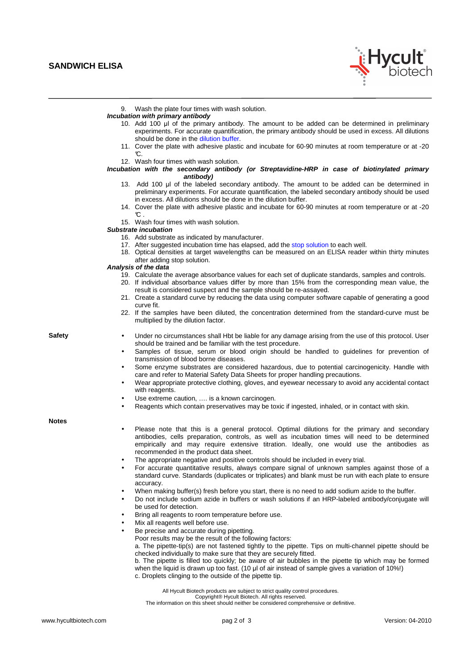## **SANDWICH ELISA**



|                    | 9. Wash the plate four times with wash solution.                                                                                                                                                                                                                                                                                                                                          |
|--------------------|-------------------------------------------------------------------------------------------------------------------------------------------------------------------------------------------------------------------------------------------------------------------------------------------------------------------------------------------------------------------------------------------|
|                    | Incubation with primary antibody                                                                                                                                                                                                                                                                                                                                                          |
|                    | 10. Add 100 µl of the primary antibody. The amount to be added can be determined in preliminary<br>experiments. For accurate quantification, the primary antibody should be used in excess. All dilutions                                                                                                                                                                                 |
|                    | should be done in the dilution buffer.<br>11. Cover the plate with adhesive plastic and incubate for 60-90 minutes at room temperature or at -20                                                                                                                                                                                                                                          |
|                    | C.<br>12. Wash four times with wash solution.                                                                                                                                                                                                                                                                                                                                             |
|                    | Incubation with the secondary antibody (or Streptavidine-HRP in case of biotinylated primary<br>antibody)                                                                                                                                                                                                                                                                                 |
|                    | 13. Add 100 µl of the labeled secondary antibody. The amount to be added can be determined in<br>preliminary experiments. For accurate quantification, the labeled secondary antibody should be used<br>in excess. All dilutions should be done in the dilution buffer.                                                                                                                   |
|                    | 14. Cover the plate with adhesive plastic and incubate for 60-90 minutes at room temperature or at -20<br>C.                                                                                                                                                                                                                                                                              |
|                    | 15. Wash four times with wash solution.                                                                                                                                                                                                                                                                                                                                                   |
|                    | <b>Substrate incubation</b>                                                                                                                                                                                                                                                                                                                                                               |
|                    | 16. Add substrate as indicated by manufacturer.                                                                                                                                                                                                                                                                                                                                           |
|                    | 17. After suggested incubation time has elapsed, add the stop solution to each well.                                                                                                                                                                                                                                                                                                      |
|                    | 18. Optical densities at target wavelengths can be measured on an ELISA reader within thirty minutes<br>after adding stop solution.                                                                                                                                                                                                                                                       |
|                    | Analysis of the data                                                                                                                                                                                                                                                                                                                                                                      |
|                    | 19. Calculate the average absorbance values for each set of duplicate standards, samples and controls.<br>20. If individual absorbance values differ by more than 15% from the corresponding mean value, the<br>result is considered suspect and the sample should be re-assayed.                                                                                                         |
|                    | 21. Create a standard curve by reducing the data using computer software capable of generating a good<br>curve fit.                                                                                                                                                                                                                                                                       |
|                    | 22. If the samples have been diluted, the concentration determined from the standard-curve must be<br>multiplied by the dilution factor.                                                                                                                                                                                                                                                  |
| <b>Safety</b><br>٠ | Under no circumstances shall Hbt be liable for any damage arising from the use of this protocol. User                                                                                                                                                                                                                                                                                     |
| ٠                  | should be trained and be familiar with the test procedure.<br>Samples of tissue, serum or blood origin should be handled to guidelines for prevention of                                                                                                                                                                                                                                  |
| ٠                  | transmission of blood borne diseases.<br>Some enzyme substrates are considered hazardous, due to potential carcinogenicity. Handle with                                                                                                                                                                                                                                                   |
| ٠                  | care and refer to Material Safety Data Sheets for proper handling precautions.<br>Wear appropriate protective clothing, gloves, and eyewear necessary to avoid any accidental contact                                                                                                                                                                                                     |
|                    | with reagents.<br>Use extreme caution,  is a known carcinogen.                                                                                                                                                                                                                                                                                                                            |
|                    | Reagents which contain preservatives may be toxic if ingested, inhaled, or in contact with skin.                                                                                                                                                                                                                                                                                          |
| <b>Notes</b>       |                                                                                                                                                                                                                                                                                                                                                                                           |
| $\bullet$          | Please note that this is a general protocol. Optimal dilutions for the primary and secondary<br>antibodies, cells preparation, controls, as well as incubation times will need to be determined<br>empirically and may require extensive titration. Ideally, one would use the antibodies as<br>recommended in the product data sheet.                                                    |
| $\bullet$          | The appropriate negative and positive controls should be included in every trial.                                                                                                                                                                                                                                                                                                         |
|                    | For accurate quantitative results, always compare signal of unknown samples against those of a<br>standard curve. Standards (duplicates or triplicates) and blank must be run with each plate to ensure                                                                                                                                                                                   |
| ٠                  | accuracy.<br>When making buffer(s) fresh before you start, there is no need to add sodium azide to the buffer.                                                                                                                                                                                                                                                                            |
|                    | Do not include sodium azide in buffers or wash solutions if an HRP-labeled antibody/conjugate will                                                                                                                                                                                                                                                                                        |
|                    | be used for detection.                                                                                                                                                                                                                                                                                                                                                                    |
| ٠                  | Bring all reagents to room temperature before use.                                                                                                                                                                                                                                                                                                                                        |
|                    | Mix all reagents well before use.                                                                                                                                                                                                                                                                                                                                                         |
| $\bullet$          | Be precise and accurate during pipetting.<br>Poor results may be the result of the following factors:                                                                                                                                                                                                                                                                                     |
|                    | a. The pipette-tip(s) are not fastened tightly to the pipette. Tips on multi-channel pipette should be<br>checked individually to make sure that they are securely fitted.<br>b. The pipette is filled too quickly; be aware of air bubbles in the pipette tip which may be formed<br>when the liquid is drawn up too fast. (10 $\mu$ of air instead of sample gives a variation of 10%!) |
|                    | c. Droplets clinging to the outside of the pipette tip.<br>All Hycult Biotech products are subject to strict quality control procedures.                                                                                                                                                                                                                                                  |

All Hycult Biotech products are subject to strict quality control procedures. Copyright® Hycult Biotech. All rights reserved. The information on this sheet should neither be considered comprehensive or definitive.